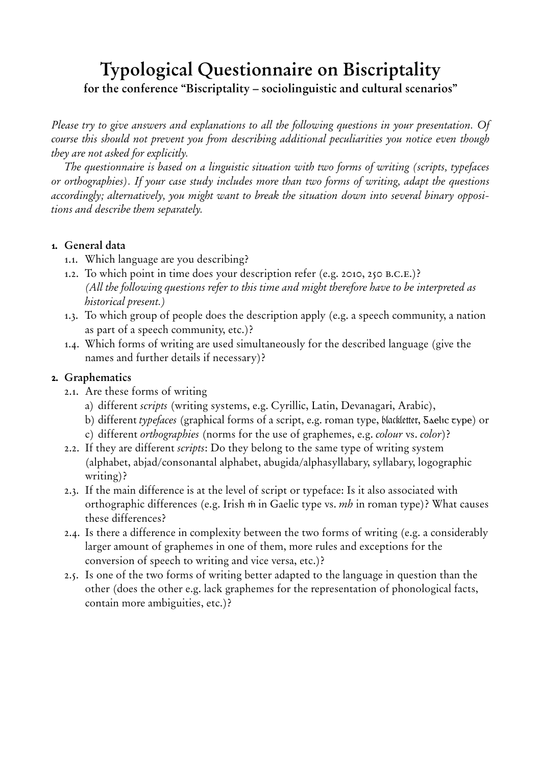# **Typological Questionnaire on Biscriptality for the conference "Biscriptality – sociolinguistic and cultural scenarios"**

*Please try to give answers and explanations to all the following questions in your presentation. Of course this should not prevent you from describing additional peculiarities you notice even though they are not asked for explicitly.* 

*The questionnaire is based on a linguistic situation with two forms of writing (scripts, typefaces or orthographies). If your case study includes more than two forms of writing, adapt the questions accordingly; alternatively, you might want to break the situation down into several binary oppositions and describe them separately.* 

#### **1. General data**

- 1.1. Which language are you describing?
- 1.2. To which point in time does your description refer (e.g. 2010, 250 b.c.e.)? *(All the following questions refer to this time and might therefore have to be interpreted as historical present.)*
- 1.3. To which group of people does the description apply (e.g. a speech community, a nation as part of a speech community, etc.)?
- 1.4. Which forms of writing are used simultaneously for the described language (give the names and further details if necessary)?

#### **2. Graphematics**

- 2.1. Are these forms of writing
	- a) different *scripts* (writing systems, e.g. Cyrillic, Latin, Devanagari, Arabic),
	- b) different *typefaces* (graphical forms of a script, e.g. roman type, blackletter, Gaelic type) or
	- c) different *orthographies* (norms for the use of graphemes, e.g. *colour* vs. *color*)?
- 2.2. If they are different *scripts*: Do they belong to the same type of writing system (alphabet, abjad/consonantal alphabet, abugida/alphasyllabary, syllabary, logographic writing)?
- 2.3. If the main difference is at the level of script or typeface: Is it also associated with orthographic differences (e.g. Irish ṁ in Gaelic type vs. *mh* in roman type)? What causes these differences?
- 2.4. Is there a difference in complexity between the two forms of writing (e.g. a considerably larger amount of graphemes in one of them, more rules and exceptions for the conversion of speech to writing and vice versa, etc.)?
- 2.5. Is one of the two forms of writing better adapted to the language in question than the other (does the other e.g. lack graphemes for the representation of phonological facts, contain more ambiguities, etc.)?